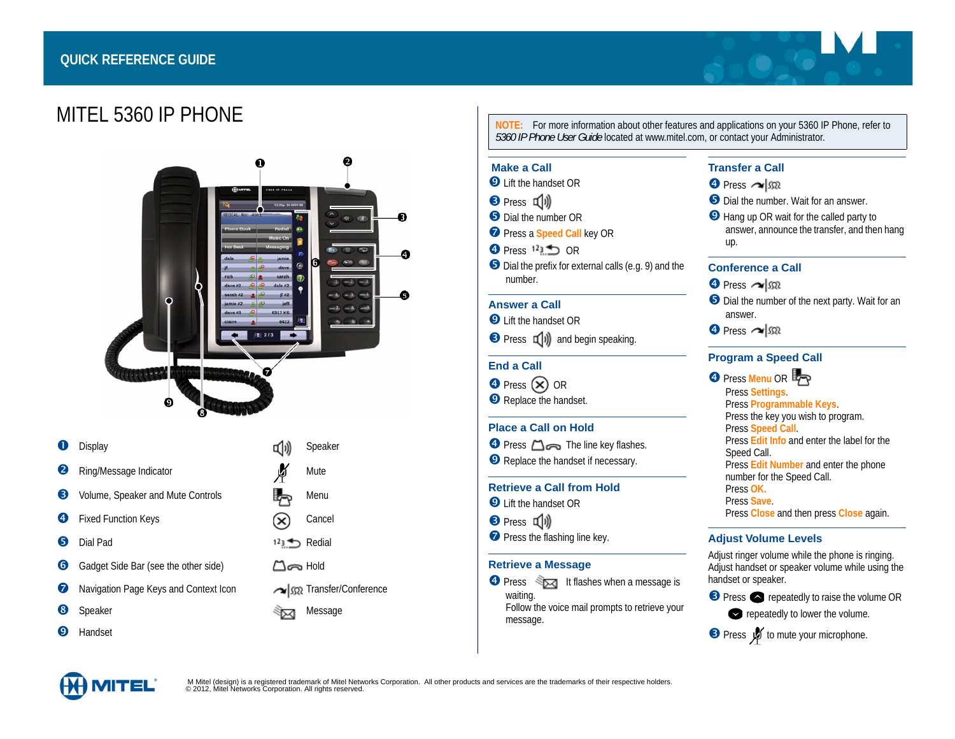# **QUICK REFERENCE GUIDE**





|   | Display                               | 띠リ                         | Speaker                 |
|---|---------------------------------------|----------------------------|-------------------------|
| 2 | Ring/Message Indicator                | φ                          | <b>Mute</b>             |
| ❸ | Volume, Speaker and Mute Controls     |                            | Menu                    |
| 4 | <b>Fixed Function Keys</b>            |                            | Cancel                  |
| 6 | Dial Pad                              | $123 + 1$                  | Redial                  |
| 6 | Gadget Side Bar (see the other side)  | $\Box$ $\blacksquare$ Hold |                         |
| Ø | Navigation Page Keys and Context Icon |                            | Sex Transfer/Conference |
| 8 | Speaker                               |                            | Message                 |

Handset

**NOTE:** For more information about other features and applications on your 5360 IP Phone, refer to *5360 IP Phone User Guide* located at www.mitel.com, or contact your Administrator.

#### **Make a Call**

- **Q** Lift the handset OR
- **B** Press **d**
- **O** Dial the number OR
- **P** Press a **Speed Call** key OR
- $\bullet$  Press  $123$  OR
- Dial the prefix for external calls (e.g. 9) and the number.

## **Answer a Call**

- **O** Lift the handset OR
- $\Theta$  Press  $\Psi$  and begin speaking.

# **End a Call**

 $\Theta$  Press  $(\hat{\mathbf{x}})$  OR **O** Replace the handset.

# **Place a Call on Hold**

**O** Press  $\Box$  The line key flashes. **O** Replace the handset if necessary.

#### **Retrieve a Call from Hold**

- **Q** Lift the handset OR
- **<sup>3</sup>** Press **可**
- **P** Press the flashing line key.

#### **Retrieve a Message**

 $\bullet$  Press  $\leq \leq \bullet$  It flashes when a message is waiting. Follow the voice mail prompts to retrieve your message.

# **Transfer a Call**

- $\bullet$  Press  $\sim$   $\sqrt{32}$
- **O** Dial the number. Wait for an answer.
- **O** Hang up OR wait for the called party to answer, announce the transfer, and then hang up.

# **Conference a Call**

- $\bullet$  Press  $\sim$   $\mathfrak{m}$
- Dial the number of the next party. Wait for an answer.
- $\bullet$  Press  $\sim$   $\mathbb{R}$

## **Program a Speed Call**

# **Press Menu OR 5**

Press **Settings**. Press **Programmable Keys**. Press the key you wish to program. Press **Speed Call**. Press **Edit Info** and enter the label for the Speed Call. Press **Edit Number** and enter the phone number for the Speed Call. Press **OK.** Press **Save**. Press **Close** and then press **Close** again.

# **Adjust Volume Levels**

Adjust ringer volume while the phone is ringing. Adjust handset or speaker volume while using the handset or speaker.

**Press • repeatedly to raise the volume OR** 

- repeatedly to lower the volume.
- **B** Press **V** to mute your microphone.